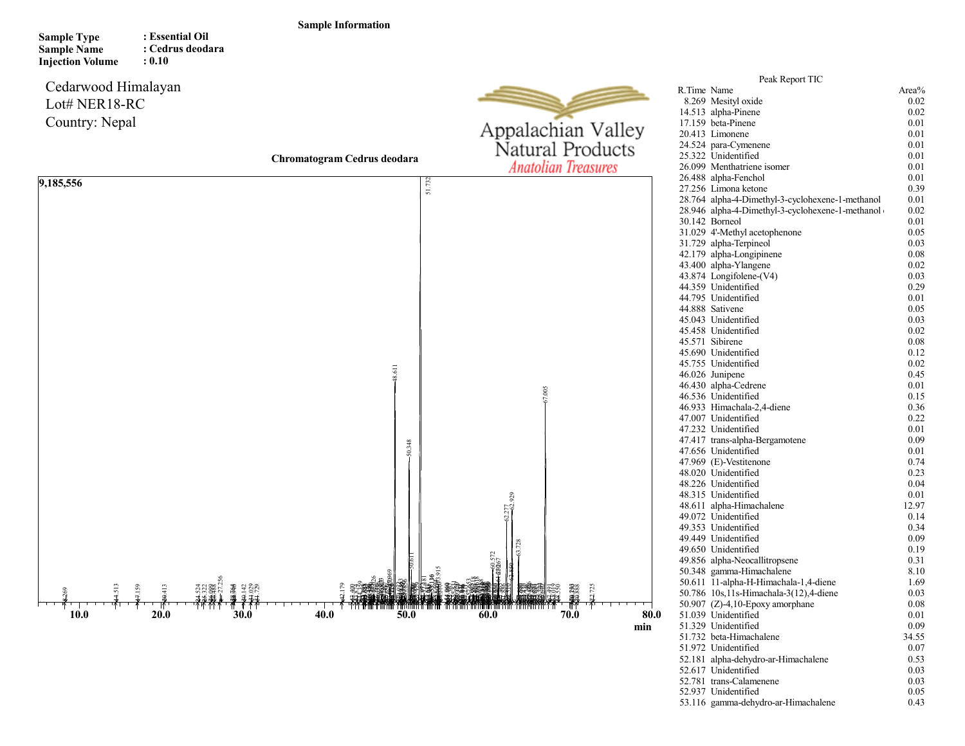## Sample Information

| <b>Sample Type</b>      | : Essential Oil  |
|-------------------------|------------------|
| <b>Sample Name</b>      | : Cedrus deodara |
| <b>Injection Volume</b> | : 0.10           |

## Cedarwood Himalayan Lot# NER18-RC Country: Nepal

9,185,556



min

|             | Peak Report TIC                                  |       |
|-------------|--------------------------------------------------|-------|
| R.Time Name |                                                  | Area% |
|             | 8.269 Mesityl oxide                              | 0.02  |
|             | 14.513 alpha-Pinene                              | 0.02  |
|             | 17.159 beta-Pinene                               | 0.01  |
|             | 20.413 Limonene                                  | 0.01  |
|             | 24.524 para-Cymenene                             | 0.01  |
|             | 25.322 Unidentified                              | 0.01  |
|             | 26.099 Menthatriene isomer                       | 0.01  |
|             | 26.488 alpha-Fenchol                             | 0.01  |
|             | 27.256 Limona ketone                             | 0.39  |
|             | 28.764 alpha-4-Dimethyl-3-cyclohexene-1-methanol | 0.01  |
|             | 28.946 alpha-4-Dimethyl-3-cyclohexene-1-methanol | 0.02  |
|             | 30.142 Borneol                                   | 0.01  |
|             | 31.029 4'-Methyl acetophenone                    | 0.05  |
|             | 31.729 alpha-Terpineol                           | 0.03  |
|             |                                                  |       |
|             | 42.179 alpha-Longipinene                         | 0.08  |
|             | 43.400 alpha-Ylangene                            | 0.02  |
|             | 43.874 Longifolene-(V4)                          | 0.03  |
|             | 44.359 Unidentified                              | 0.29  |
|             | 44.795 Unidentified                              | 0.01  |
|             | 44.888 Sativene                                  | 0.05  |
|             | 45.043 Unidentified                              | 0.03  |
|             | 45.458 Unidentified                              | 0.02  |
|             | 45.571 Sibirene                                  | 0.08  |
|             | 45.690 Unidentified                              | 0.12  |
|             | 45.755 Unidentified                              | 0.02  |
|             | 46.026 Junipene                                  | 0.45  |
|             | 46.430 alpha-Cedrene                             | 0.01  |
|             | 46.536 Unidentified                              | 0.15  |
|             | 46.933 Himachala-2,4-diene                       | 0.36  |
|             | 47.007 Unidentified                              | 0.22  |
|             | 47.232 Unidentified                              | 0.01  |
|             | 47.417 trans-alpha-Bergamotene                   | 0.09  |
|             | 47.656 Unidentified                              | 0.01  |
|             | 47.969 (E)-Vestitenone                           | 0.74  |
|             | 48.020 Unidentified                              | 0.23  |
|             | 48.226 Unidentified                              | 0.04  |
|             | 48.315 Unidentified                              | 0.01  |
|             | 48.611 alpha-Himachalene                         | 12.97 |
|             | 49.072 Unidentified                              | 0.14  |
|             | 49.353 Unidentified                              | 0.34  |
|             | 49.449 Unidentified                              | 0.09  |
|             | 49.650 Unidentified                              | 0.19  |
|             | 49.856 alpha-Neocallitropsene                    | 0.31  |
|             | 50.348 gamma-Himachalene                         | 8.10  |
|             | 50.611 11-alpha-H-Himachala-1,4-diene            | 1.69  |
|             | 50.786 10s, 11s-Himachala-3(12), 4-diene         | 0.03  |
|             | 50.907 (Z)-4,10-Epoxy amorphane                  | 0.08  |
|             | 51.039 Unidentified                              | 0.01  |
|             | 51.329 Unidentified                              | 0.09  |
|             | 51.732 beta-Himachalene                          | 34.55 |
|             | 51.972 Unidentified                              | 0.07  |
|             | 52.181 alpha-dehydro-ar-Himachalene              | 0.53  |
|             | 52.617 Unidentified                              | 0.03  |
|             | 52.781 trans-Calamenene                          | 0.03  |
|             | 52.937 Unidentified                              | 0.05  |
|             | 53.116 gamma-dehydro-ar-Himachalene              | 0.43  |
|             |                                                  |       |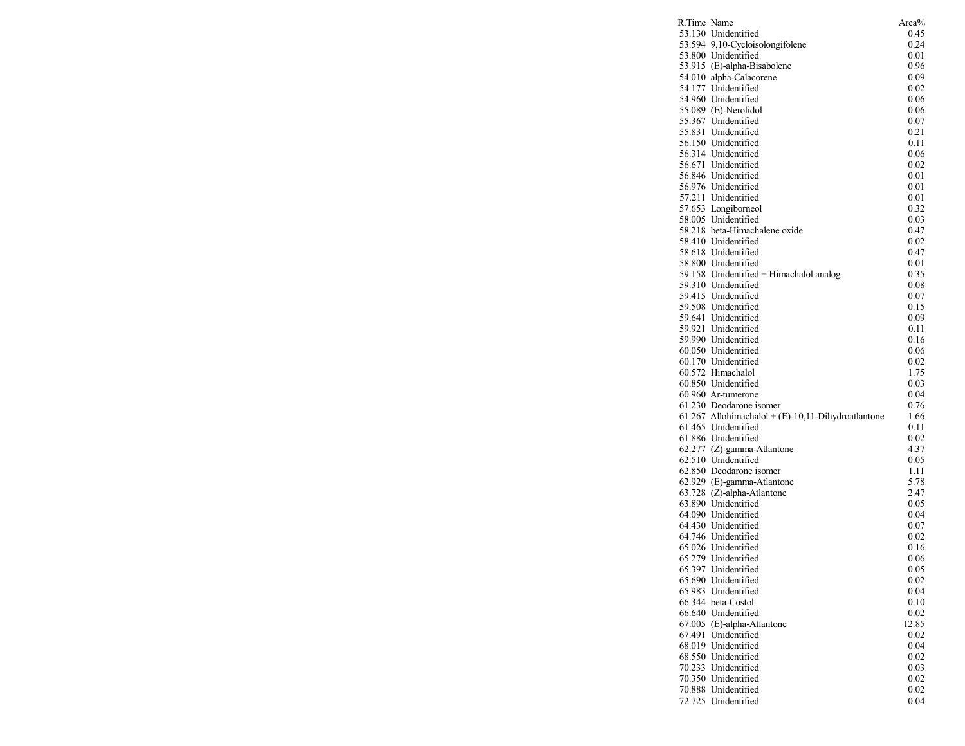| R.Time Name |                                                    | Area%        |
|-------------|----------------------------------------------------|--------------|
|             | 53.130 Unidentified                                | 0.45         |
|             | 53.594 9,10-Cycloisolongifolene                    | 0.24         |
|             | 53.800 Unidentified                                | 0.01         |
|             | 53.915 (E)-alpha-Bisabolene                        | 0.96         |
|             | 54.010 alpha-Calacorene                            | 0.09         |
|             | 54.177 Unidentified                                | 0.02         |
|             | 54.960 Unidentified                                | 0.06         |
|             | 55.089 (E)-Nerolidol                               | 0.06         |
|             | 55.367 Unidentified<br>55.831 Unidentified         | 0.07         |
|             | 56.150 Unidentified                                | 0.21<br>0.11 |
|             | 56.314 Unidentified                                | 0.06         |
|             | 56.671 Unidentified                                | 0.02         |
|             | 56.846 Unidentified                                | 0.01         |
|             | 56.976 Unidentified                                | 0.01         |
|             | 57.211 Unidentified                                | 0.01         |
|             | 57.653 Longiborneol                                | 0.32         |
|             | 58.005 Unidentified                                | 0.03         |
|             | 58.218 beta-Himachalene oxide                      | 0.47         |
|             | 58.410 Unidentified                                | 0.02         |
|             | 58.618 Unidentified                                | 0.47         |
|             | 58.800 Unidentified                                | 0.01         |
|             | 59.158 Unidentified + Himachalol analog            | 0.35         |
|             | 59.310 Unidentified                                | 0.08         |
|             | 59.415 Unidentified                                | 0.07         |
|             | 59.508 Unidentified                                | 0.15         |
|             | 59.641 Unidentified                                | 0.09         |
|             | 59.921 Unidentified                                | 0.11         |
|             | 59.990 Unidentified                                | 0.16         |
|             | 60.050 Unidentified                                | 0.06         |
|             | 60.170 Unidentified                                | 0.02         |
|             | 60.572 Himachalol                                  | 1.75         |
|             | 60.850 Unidentified                                | 0.03         |
|             | 60.960 Ar-tumerone                                 | 0.04         |
|             | 61.230 Deodarone isomer                            | 0.76         |
|             | 61.267 Allohimachalol + (E)-10,11-Dihydroatlantone | 1.66         |
|             | 61.465 Unidentified                                | 0.11         |
|             | 61.886 Unidentified                                | 0.02         |
|             | 62.277 (Z)-gamma-Atlantone                         | 4.37         |
|             | 62.510 Unidentified<br>62.850 Deodarone isomer     | 0.05         |
|             | 62.929 (E)-gamma-Atlantone                         | 1.11<br>5.78 |
|             | 63.728 (Z)-alpha-Atlantone                         | 2.47         |
|             | 63.890 Unidentified                                | 0.05         |
|             | 64.090 Unidentified                                | 0.04         |
|             | 64.430 Unidentified                                | 0.07         |
|             | 64.746 Unidentified                                | 0.02         |
|             | 65.026 Unidentified                                | 0.16         |
|             | 65.279 Unidentified                                | 0.06         |
|             | 65.397 Unidentified                                | 0.05         |
|             | 65.690 Unidentified                                | 0.02         |
|             | 65.983 Unidentified                                | 0.04         |
|             | 66.344 beta-Costol                                 | 0.10         |
|             | 66.640 Unidentified                                | 0.02         |
|             | 67.005 (E)-alpha-Atlantone                         | 12.85        |
|             | 67.491 Unidentified                                | 0.02         |
|             | 68.019 Unidentified                                | 0.04         |
|             | 68.550 Unidentified                                | 0.02         |
|             | 70.233 Unidentified                                | 0.03         |
|             | 70.350 Unidentified                                | 0.02         |
|             | 70.888 Unidentified                                | 0.02         |
|             | 72.725 Unidentified                                | 0.04         |
|             |                                                    |              |